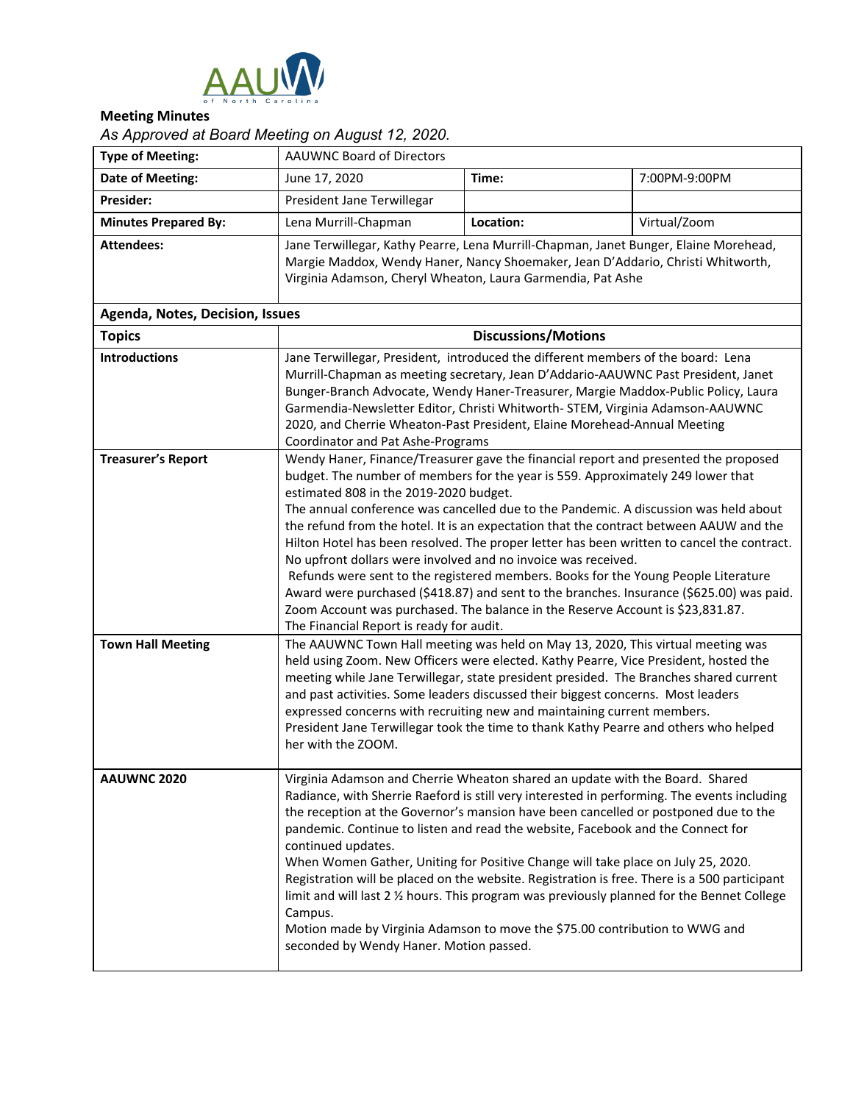

## **Meeting Minutes**

## *As Approved at Board Meeting on August 12, 2020.*

| <b>Type of Meeting:</b>                               | <b>AAUWNC Board of Directors</b>                                                                                                                                                                                                                                                                                                                                                                                                                                                                                                                                                                                                                                                                                                                                                                                                                                                                                                                                                                                                                                                                                                                                                                                                                                                                                     |           |               |  |
|-------------------------------------------------------|----------------------------------------------------------------------------------------------------------------------------------------------------------------------------------------------------------------------------------------------------------------------------------------------------------------------------------------------------------------------------------------------------------------------------------------------------------------------------------------------------------------------------------------------------------------------------------------------------------------------------------------------------------------------------------------------------------------------------------------------------------------------------------------------------------------------------------------------------------------------------------------------------------------------------------------------------------------------------------------------------------------------------------------------------------------------------------------------------------------------------------------------------------------------------------------------------------------------------------------------------------------------------------------------------------------------|-----------|---------------|--|
| <b>Date of Meeting:</b>                               | June 17, 2020                                                                                                                                                                                                                                                                                                                                                                                                                                                                                                                                                                                                                                                                                                                                                                                                                                                                                                                                                                                                                                                                                                                                                                                                                                                                                                        | Time:     | 7:00PM-9:00PM |  |
| Presider:                                             | President Jane Terwillegar                                                                                                                                                                                                                                                                                                                                                                                                                                                                                                                                                                                                                                                                                                                                                                                                                                                                                                                                                                                                                                                                                                                                                                                                                                                                                           |           |               |  |
| <b>Minutes Prepared By:</b>                           | Lena Murrill-Chapman                                                                                                                                                                                                                                                                                                                                                                                                                                                                                                                                                                                                                                                                                                                                                                                                                                                                                                                                                                                                                                                                                                                                                                                                                                                                                                 | Location: | Virtual/Zoom  |  |
| <b>Attendees:</b>                                     | Jane Terwillegar, Kathy Pearre, Lena Murrill-Chapman, Janet Bunger, Elaine Morehead,<br>Margie Maddox, Wendy Haner, Nancy Shoemaker, Jean D'Addario, Christi Whitworth,<br>Virginia Adamson, Cheryl Wheaton, Laura Garmendia, Pat Ashe                                                                                                                                                                                                                                                                                                                                                                                                                                                                                                                                                                                                                                                                                                                                                                                                                                                                                                                                                                                                                                                                               |           |               |  |
| <b>Agenda, Notes, Decision, Issues</b>                |                                                                                                                                                                                                                                                                                                                                                                                                                                                                                                                                                                                                                                                                                                                                                                                                                                                                                                                                                                                                                                                                                                                                                                                                                                                                                                                      |           |               |  |
| <b>Topics</b>                                         | <b>Discussions/Motions</b>                                                                                                                                                                                                                                                                                                                                                                                                                                                                                                                                                                                                                                                                                                                                                                                                                                                                                                                                                                                                                                                                                                                                                                                                                                                                                           |           |               |  |
| <b>Introductions</b>                                  | Jane Terwillegar, President, introduced the different members of the board: Lena<br>Murrill-Chapman as meeting secretary, Jean D'Addario-AAUWNC Past President, Janet<br>Bunger-Branch Advocate, Wendy Haner-Treasurer, Margie Maddox-Public Policy, Laura<br>Garmendia-Newsletter Editor, Christi Whitworth- STEM, Virginia Adamson-AAUWNC<br>2020, and Cherrie Wheaton-Past President, Elaine Morehead-Annual Meeting<br>Coordinator and Pat Ashe-Programs                                                                                                                                                                                                                                                                                                                                                                                                                                                                                                                                                                                                                                                                                                                                                                                                                                                         |           |               |  |
| <b>Treasurer's Report</b><br><b>Town Hall Meeting</b> | Wendy Haner, Finance/Treasurer gave the financial report and presented the proposed<br>budget. The number of members for the year is 559. Approximately 249 lower that<br>estimated 808 in the 2019-2020 budget.<br>The annual conference was cancelled due to the Pandemic. A discussion was held about<br>the refund from the hotel. It is an expectation that the contract between AAUW and the<br>Hilton Hotel has been resolved. The proper letter has been written to cancel the contract.<br>No upfront dollars were involved and no invoice was received.<br>Refunds were sent to the registered members. Books for the Young People Literature<br>Award were purchased (\$418.87) and sent to the branches. Insurance (\$625.00) was paid.<br>Zoom Account was purchased. The balance in the Reserve Account is \$23,831.87.<br>The Financial Report is ready for audit.<br>The AAUWNC Town Hall meeting was held on May 13, 2020, This virtual meeting was<br>held using Zoom. New Officers were elected. Kathy Pearre, Vice President, hosted the<br>meeting while Jane Terwillegar, state president presided. The Branches shared current<br>and past activities. Some leaders discussed their biggest concerns. Most leaders<br>expressed concerns with recruiting new and maintaining current members. |           |               |  |
|                                                       | President Jane Terwillegar took the time to thank Kathy Pearre and others who helped<br>her with the ZOOM.                                                                                                                                                                                                                                                                                                                                                                                                                                                                                                                                                                                                                                                                                                                                                                                                                                                                                                                                                                                                                                                                                                                                                                                                           |           |               |  |
| AAUWNC 2020                                           | Virginia Adamson and Cherrie Wheaton shared an update with the Board. Shared<br>Radiance, with Sherrie Raeford is still very interested in performing. The events including<br>the reception at the Governor's mansion have been cancelled or postponed due to the<br>pandemic. Continue to listen and read the website, Facebook and the Connect for<br>continued updates.<br>When Women Gather, Uniting for Positive Change will take place on July 25, 2020.<br>Registration will be placed on the website. Registration is free. There is a 500 participant<br>limit and will last 2 1/2 hours. This program was previously planned for the Bennet College<br>Campus.<br>Motion made by Virginia Adamson to move the \$75.00 contribution to WWG and<br>seconded by Wendy Haner. Motion passed.                                                                                                                                                                                                                                                                                                                                                                                                                                                                                                                  |           |               |  |